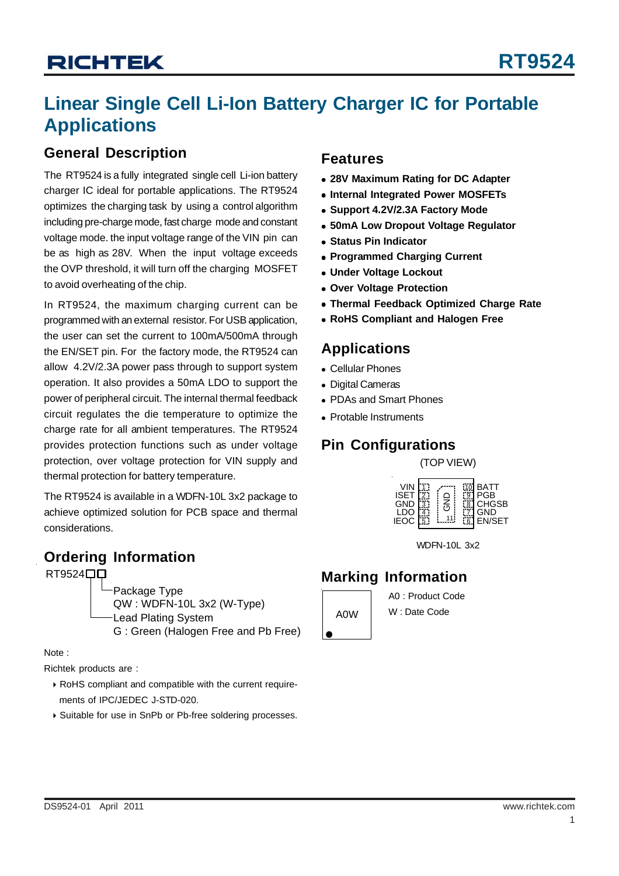# **Linear Single Cell Li-Ion Battery Charger IC for Portable Applications**

### **General Description**

The RT9524 is a fully integrated single cell Li-ion battery charger IC ideal for portable applications. The RT9524 optimizes the charging task by using a control algorithm including pre-charge mode, fast charge mode and constant voltage mode. the input voltage range of the VIN pin can be as high as 28V. When the input voltage exceeds the OVP threshold, it will turn off the charging MOSFET to avoid overheating of the chip.

In RT9524, the maximum charging current can be programmed with an external resistor. For USB application, the user can set the current to 100mA/500mA through the EN/SET pin. For the factory mode, the RT9524 can allow 4.2V/2.3A power pass through to support system operation. It also provides a 50mA LDO to support the power of peripheral circuit. The internal thermal feedback circuit regulates the die temperature to optimize the charge rate for all ambient temperatures. The RT9524 provides protection functions such as under voltage protection, over voltage protection for VIN supply and thermal protection for battery temperature.

The RT9524 is available in a WDFN-10L 3x2 package to achieve optimized solution for PCB space and thermal considerations.

### **Ordering Information**

RT9524<sup>DD</sup>

Package Type QW : WDFN-10L 3x2 (W-Type) Lead Plating System G : Green (Halogen Free and Pb Free)

Note :

Richtek products are :

- ▶ RoHS compliant and compatible with the current requirements of IPC/JEDEC J-STD-020.
- ▶ Suitable for use in SnPb or Pb-free soldering processes.

### **Features**

- <sup>z</sup> **28V Maximum Rating for DC Adapter**
- $\bullet$  **Internal Integrated Power MOSFETs**
- **Support 4.2V/2.3A Factory Mode**
- $\bullet$  **50mA Low Dropout Voltage Regulator**
- $\bullet$  **Status Pin Indicator**
- **Programmed Charging Current**
- $\bullet$  **Under Voltage Lockout**
- **Over Voltage Protection**
- **Thermal Feedback Optimized Charge Rate**
- **RoHS Compliant and Halogen Free**

### **Applications**

- Cellular Phones
- Digital Cameras
- PDAs and Smart Phones
- Protable Instruments

## **Pin Configurations**

(TOP VIEW)



WDFN-10L 3x2

### **Marking Information**



A0 : Product Code W : Date Code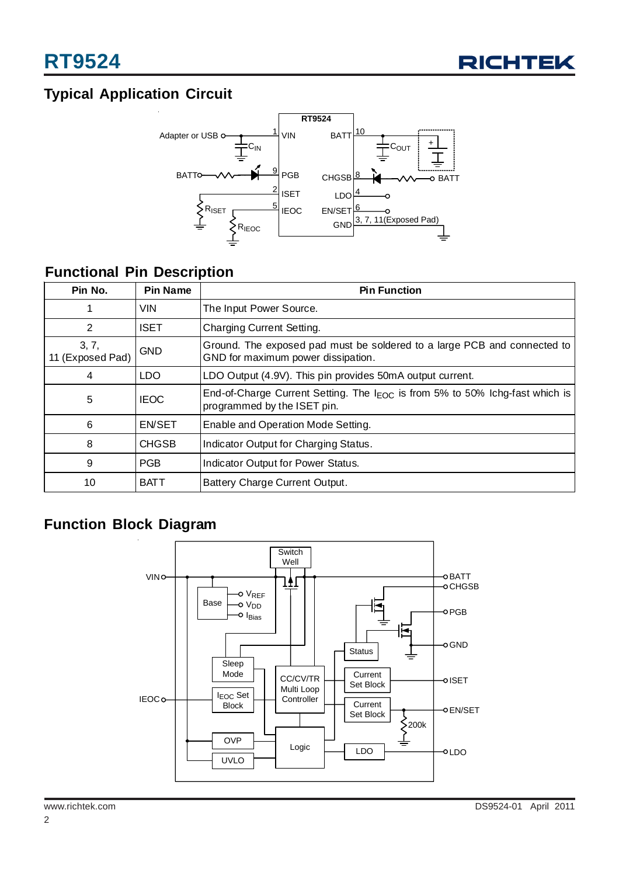

# **Typical Application Circuit**



# **Functional Pin Description**

| Pin No.                   | <b>Pin Name</b> | <b>Pin Function</b>                                                                                              |
|---------------------------|-----------------|------------------------------------------------------------------------------------------------------------------|
| 1                         | <b>VIN</b>      | The Input Power Source.                                                                                          |
| 2                         | <b>ISET</b>     | Charging Current Setting.                                                                                        |
| 3, 7,<br>11 (Exposed Pad) | <b>GND</b>      | Ground. The exposed pad must be soldered to a large PCB and connected to<br>GND for maximum power dissipation.   |
| 4                         | LDO             | LDO Output (4.9V). This pin provides 50mA output current.                                                        |
| 5                         | <b>IEOC</b>     | End-of-Charge Current Setting. The $I_{EOC}$ is from 5% to 50% Ichg-fast which is<br>programmed by the ISET pin. |
| 6                         | <b>EN/SET</b>   | Enable and Operation Mode Setting.                                                                               |
| 8                         | <b>CHGSB</b>    | Indicator Output for Charging Status.                                                                            |
| 9                         | <b>PGB</b>      | Indicator Output for Power Status.                                                                               |
| 10                        | BATT            | Battery Charge Current Output.                                                                                   |

### **Function Block Diagram**

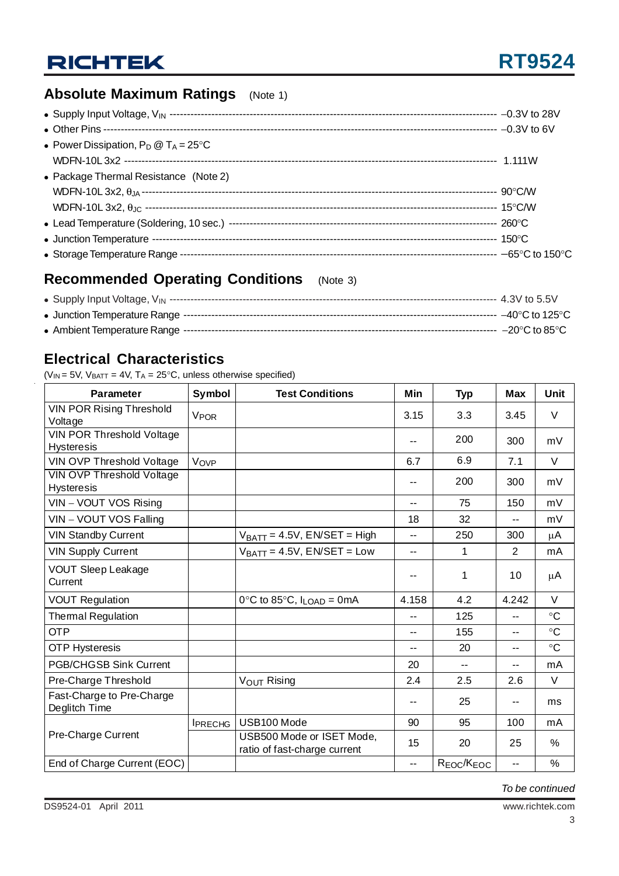# **Absolute Maximum Ratings** (Note 1)

| • Power Dissipation, $P_D @ T_A = 25^{\circ}C$ |  |
|------------------------------------------------|--|
|                                                |  |
| • Package Thermal Resistance (Note 2)          |  |
|                                                |  |
|                                                |  |
|                                                |  |
| • Junction Temperature                         |  |
|                                                |  |

# **Recommended Operating Conditions** (Note 3)

# **Electrical Characteristics**

( $V_{IN}$  = 5V,  $V_{BAT}$  = 4V,  $T_A$  = 25°C, unless otherwise specified)

| <b>Parameter</b>                                      | Symbol                 | <b>Test Conditions</b>                                    | Min                      | <b>Typ</b>                         | <b>Max</b> | <b>Unit</b>     |
|-------------------------------------------------------|------------------------|-----------------------------------------------------------|--------------------------|------------------------------------|------------|-----------------|
| <b>VIN POR Rising Threshold</b><br>Voltage            | <b>V<sub>POR</sub></b> |                                                           | 3.15                     | 3.3                                | 3.45       | V               |
| VIN POR Threshold Voltage<br><b>Hysteresis</b>        |                        |                                                           |                          | 200                                | 300        | mV              |
| <b>VIN OVP Threshold Voltage</b>                      | Vove                   |                                                           | 6.7                      | 6.9                                | 7.1        | $\vee$          |
| <b>VIN OVP Threshold Voltage</b><br><b>Hysteresis</b> |                        |                                                           |                          | 200                                | 300        | mV              |
| VIN - VOUT VOS Rising                                 |                        |                                                           | --                       | 75                                 | 150        | mV              |
| VIN - VOUT VOS Falling                                |                        |                                                           | 18                       | 32                                 | $- -$      | mV              |
| <b>VIN Standby Current</b>                            |                        | $V_{BATT} = 4.5V$ , EN/SET = High                         | $-$                      | 250                                | 300        | μA              |
| <b>VIN Supply Current</b>                             |                        | $V_{BATT} = 4.5V$ , EN/SET = Low                          | $\sim$ $\sim$            | 1                                  | 2          | mA              |
| <b>VOUT Sleep Leakage</b><br>Current                  |                        |                                                           |                          | 1                                  | 10         | μA              |
| <b>VOUT Regulation</b>                                |                        | $0^{\circ}$ C to 85 $^{\circ}$ C, I <sub>LOAD</sub> = 0mA | 4.158                    | 4.2                                | 4.242      | V               |
| <b>Thermal Regulation</b>                             |                        |                                                           | --                       | 125                                | --         | $\rm ^{\circ}C$ |
| <b>OTP</b>                                            |                        |                                                           | $-$                      | 155                                | --         | $\rm ^{\circ}C$ |
| <b>OTP Hysteresis</b>                                 |                        |                                                           | $-$                      | 20                                 | --         | $\circ$ C       |
| <b>PGB/CHGSB Sink Current</b>                         |                        |                                                           | 20                       | $\overline{a}$                     | --         | mA              |
| Pre-Charge Threshold                                  |                        | V <sub>OUT</sub> Rising                                   | 2.4                      | 2.5                                | 2.6        | V               |
| Fast-Charge to Pre-Charge<br>Deglitch Time            |                        |                                                           |                          | 25                                 | --         | ms              |
|                                                       | <b>IPRECHG</b>         | USB100 Mode                                               | 90                       | 95                                 | 100        | mA              |
| Pre-Charge Current                                    |                        | USB500 Mode or ISET Mode,<br>ratio of fast-charge current | 15                       | 20                                 | 25         | $\%$            |
| End of Charge Current (EOC)                           |                        |                                                           | $\overline{\phantom{a}}$ | R <sub>EOC</sub> /K <sub>EOC</sub> | --         | $\%$            |

*To be continued*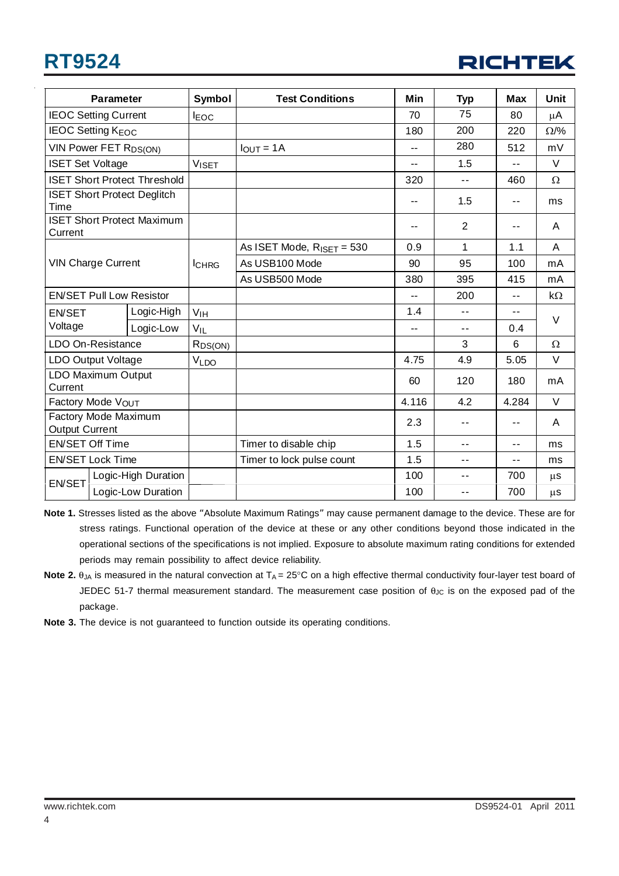# **RT9524**



|                                               | <b>Parameter</b>                    | Symbol              | <b>Test Conditions</b>         | Min   | <b>Typ</b>               | <b>Max</b> | Unit        |
|-----------------------------------------------|-------------------------------------|---------------------|--------------------------------|-------|--------------------------|------------|-------------|
| <b>IEOC Setting Current</b>                   |                                     | <b>IEOC</b>         |                                | 70    | 75                       | 80         | $\mu$ A     |
|                                               | <b>IEOC Setting KEOC</b>            |                     |                                | 180   | 200                      | 220        | $\Omega$ /% |
|                                               | VIN Power FET R <sub>DS(ON)</sub>   |                     | $IOUT = 1A$                    | --    | 280                      | 512        | mV          |
| <b>ISET Set Voltage</b>                       |                                     | <b>VISET</b>        |                                | --    | 1.5                      | $-$        | $\vee$      |
|                                               | <b>ISET Short Protect Threshold</b> |                     |                                | 320   | --                       | 460        | Ω           |
| Time                                          | <b>ISET Short Protect Deglitch</b>  |                     |                                | --    | 1.5                      | $-$        | ms          |
| Current                                       | <b>ISET Short Protect Maximum</b>   |                     |                                | --    | $\overline{2}$           | $-$        | A           |
|                                               |                                     |                     | As ISET Mode, $R_{ISET} = 530$ | 0.9   | 1                        | 1.1        | A           |
|                                               | <b>VIN Charge Current</b>           | <b>I</b> CHRG       | As USB100 Mode                 | 90    | 95                       | 100        | mA          |
|                                               |                                     |                     | As USB500 Mode                 | 380   | 395                      | 415        | mA          |
|                                               | <b>EN/SET Pull Low Resistor</b>     |                     |                                | $-$   | 200                      | $- -$      | $k\Omega$   |
| <b>EN/SET</b>                                 | Logic-High                          | V <sub>IH</sub>     |                                | 1.4   | $\overline{a}$           | $-$        | $\vee$      |
| Voltage                                       | Logic-Low                           | $V_{IL}$            |                                | --    | $\overline{\phantom{a}}$ | 0.4        |             |
|                                               | LDO On-Resistance                   | R <sub>DS(ON)</sub> |                                |       | 3                        | 6          | $\Omega$    |
|                                               | LDO Output Voltage                  | VLDO                |                                | 4.75  | 4.9                      | 5.05       | $\vee$      |
| LDO Maximum Output<br>Current                 |                                     |                     |                                | 60    | 120                      | 180        | mA          |
| Factory Mode VOUT                             |                                     |                     |                                | 4.116 | 4.2                      | 4.284      | $\vee$      |
| Factory Mode Maximum<br><b>Output Current</b> |                                     |                     |                                | 2.3   | $-$                      | $-$        | A           |
| <b>EN/SET Off Time</b>                        |                                     |                     | Timer to disable chip          | 1.5   | $\sim$ $\sim$            | $-$        | ms          |
| <b>EN/SET Lock Time</b>                       |                                     |                     | Timer to lock pulse count      | 1.5   | $\overline{\phantom{a}}$ | --         | ms          |
| Logic-High Duration                           |                                     |                     |                                | 100   | $\overline{\phantom{a}}$ | 700        | $\mu$ s     |
| <b>EN/SET</b>                                 | Logic-Low Duration                  |                     |                                | 100   | $-$                      | 700        | $\mu$ s     |

- **Note 1.** Stresses listed as the above "Absolute Maximum Ratings" may cause permanent damage to the device. These are for stress ratings. Functional operation of the device at these or any other conditions beyond those indicated in the operational sections of the specifications is not implied. Exposure to absolute maximum rating conditions for extended periods may remain possibility to affect device reliability.
- **Note 2.**  $\theta_{JA}$  is measured in the natural convection at  $T_A = 25^\circ \text{C}$  on a high effective thermal conductivity four-layer test board of JEDEC 51-7 thermal measurement standard. The measurement case position of θ<sub>JC</sub> is on the exposed pad of the package.
- **Note 3.** The device is not guaranteed to function outside its operating conditions.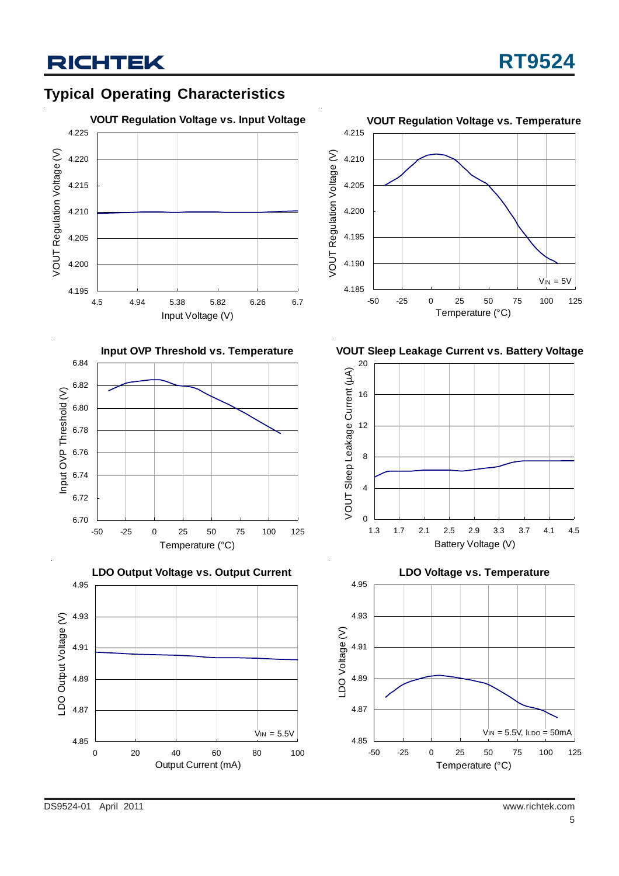# **Typical Operating Characteristics**









**VOUT Sleep Leakage Current vs. Battery Voltage**



**LDO Voltage vs. Temperature**

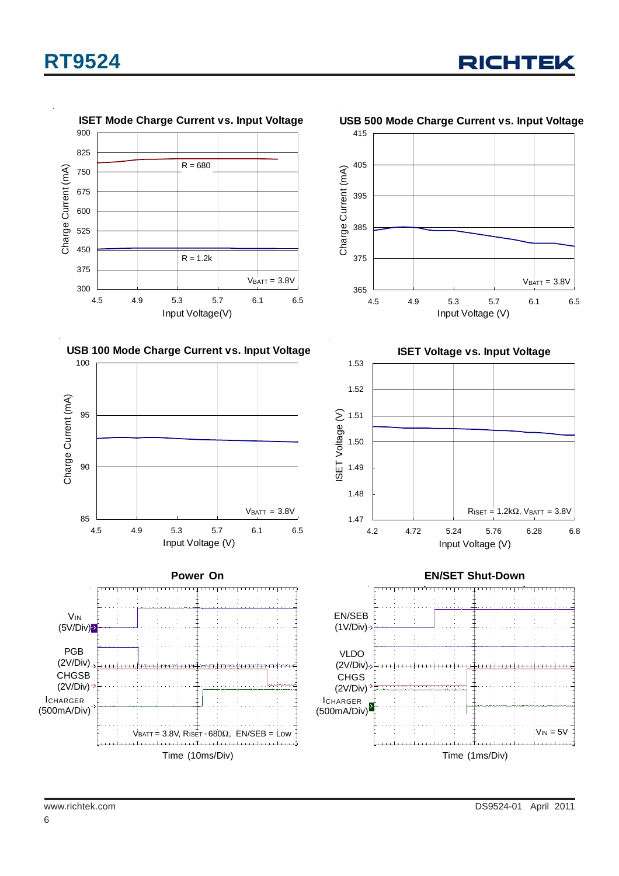

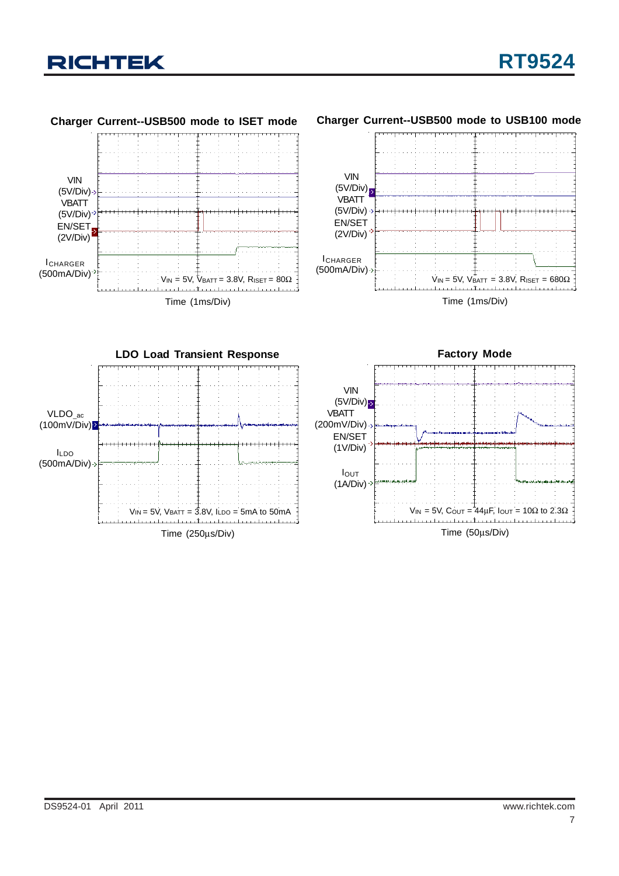

Time (1ms/Div)  $V_{IN}$  = 5V,  $V_{BATT}$  = 3.8V, RISET = 680Ω VIN  $(5V/Div)$ **VBATT** (5V/Div) EN/SET (2V/Div) ICHARGER (500mA/Div)



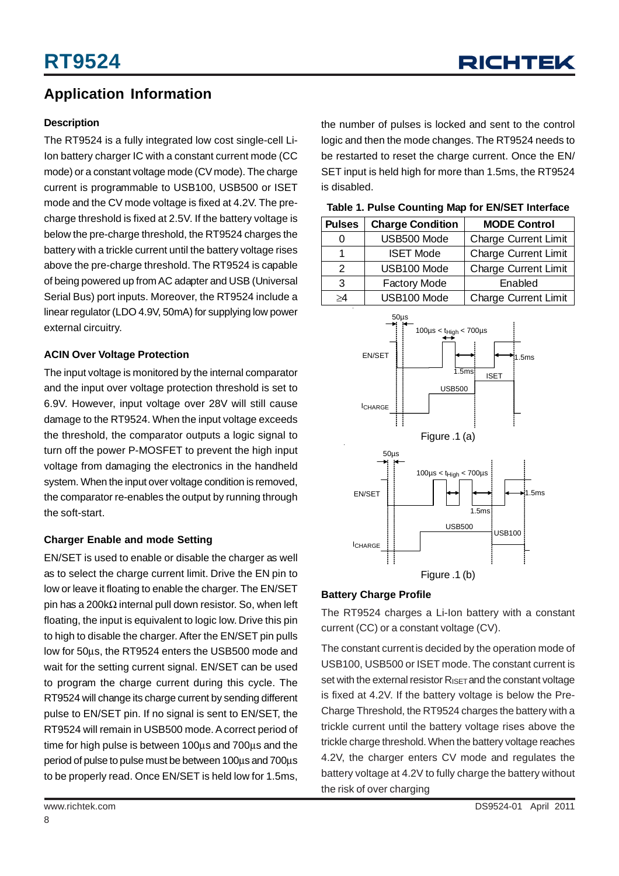## **Application Information**

#### **Description**

The RT9524 is a fully integrated low cost single-cell Li-Ion battery charger IC with a constant current mode (CC mode) or a constant voltage mode (CV mode). The charge current is programmable to USB100, USB500 or ISET mode and the CV mode voltage is fixed at 4.2V. The precharge threshold is fixed at 2.5V. If the battery voltage is below the pre-charge threshold, the RT9524 charges the battery with a trickle current until the battery voltage rises above the pre-charge threshold. The RT9524 is capable of being powered up from AC adapter and USB (Universal Serial Bus) port inputs. Moreover, the RT9524 include a linear regulator (LDO 4.9V, 50mA) for supplying low power external circuitry.

#### **ACIN Over Voltage Protection**

The input voltage is monitored by the internal comparator and the input over voltage protection threshold is set to 6.9V. However, input voltage over 28V will still cause damage to the RT9524. When the input voltage exceeds the threshold, the comparator outputs a logic signal to turn off the power P-MOSFET to prevent the high input voltage from damaging the electronics in the handheld system. When the input over voltage condition is removed, the comparator re-enables the output by running through the soft-start.

#### **Charger Enable and mode Setting**

EN/SET is used to enable or disable the charger as well as to select the charge current limit. Drive the EN pin to low or leave it floating to enable the charger. The EN/SET pin has a 200kΩ internal pull down resistor. So, when left floating, the input is equivalent to logic low. Drive this pin to high to disable the charger. After the EN/SET pin pulls low for 50μs, the RT9524 enters the USB500 mode and wait for the setting current signal. EN/SET can be used to program the charge current during this cycle. The RT9524 will change its charge current by sending different pulse to EN/SET pin. If no signal is sent to EN/SET, the RT9524 will remain in USB500 mode. A correct period of time for high pulse is between 100μs and 700μs and the period of pulse to pulse must be between 100μs and 700μs to be properly read. Once EN/SET is held low for 1.5ms,

the number of pulses is locked and sent to the control logic and then the mode changes. The RT9524 needs to be restarted to reset the charge current. Once the EN/ SET input is held high for more than 1.5ms, the RT9524 is disabled.

| Table 1. Pulse Counting Map for EN/SET Interface |  |
|--------------------------------------------------|--|
|--------------------------------------------------|--|

| <b>Pulses</b> | <b>Charge Condition</b> | <b>MODE Control</b>         |
|---------------|-------------------------|-----------------------------|
|               | USB500 Mode             | <b>Charge Current Limit</b> |
|               | <b>ISET Mode</b>        | <b>Charge Current Limit</b> |
| 2             | USB100 Mode             | <b>Charge Current Limit</b> |
| 3             | <b>Factory Mode</b>     | Enabled                     |
| >4            | USB100 Mode             | <b>Charge Current Limit</b> |



#### **Battery Charge Profile**

The RT9524 charges a Li-Ion battery with a constant current (CC) or a constant voltage (CV).

The constant currentis decided by the operation mode of USB100, USB500 or ISET mode. The constant current is set with the external resistor  $R_{\text{ISFT}}$  and the constant voltage is fixed at 4.2V. If the battery voltage is below the Pre-Charge Threshold, the RT9524 charges the battery with a trickle current until the battery voltage rises above the trickle charge threshold. When the battery voltage reaches 4.2V, the charger enters CV mode and regulates the battery voltage at 4.2V to fully charge the battery without the risk of over charging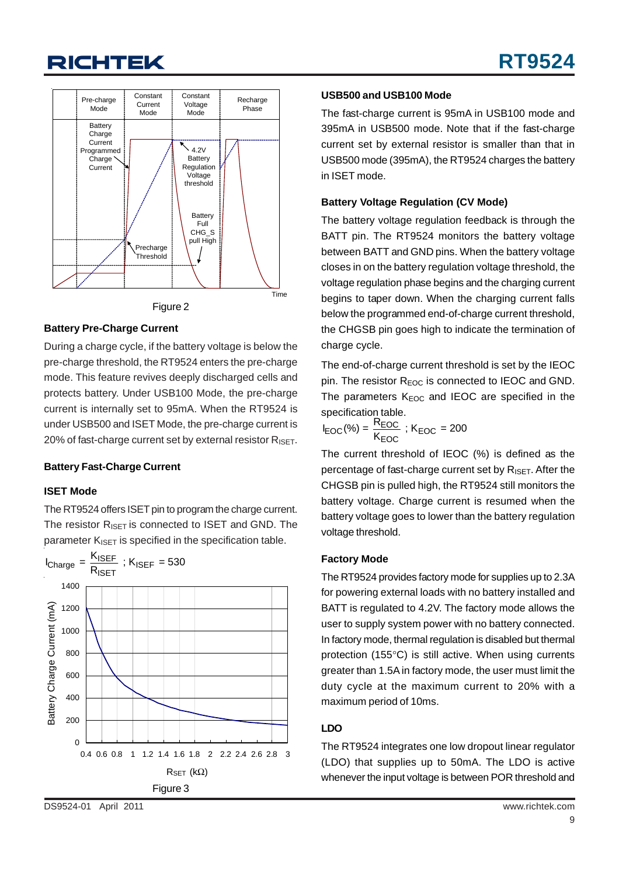

#### **Battery Pre-Charge Current**

During a charge cycle, if the battery voltage is below the pre-charge threshold, the RT9524 enters the pre-charge mode. This feature revives deeply discharged cells and protects battery. Under USB100 Mode, the pre-charge current is internally set to 95mA. When the RT9524 is under USB500 and ISET Mode, the pre-charge current is 20% of fast-charge current set by external resistor  $R_{\text{ISET}}$ .

#### **Battery Fast-Charge Current**

#### **ISET Mode**

The RT9524 offers ISET pin to program the charge current. The resistor  $R_{\text{ISET}}$  is connected to ISET and GND. The parameter  $K_{ISET}$  is specified in the specification table.



#### **USB500 and USB100 Mode**

The fast-charge current is 95mA in USB100 mode and 395mA in USB500 mode. Note that if the fast-charge current set by external resistor is smaller than that in USB500 mode (395mA), the RT9524 charges the battery in ISET mode.

#### **Battery Voltage Regulation (CV Mode)**

The battery voltage regulation feedback is through the BATT pin. The RT9524 monitors the battery voltage between BATT and GND pins. When the battery voltage closes in on the battery regulation voltage threshold, the voltage regulation phase begins and the charging current begins to taper down. When the charging current falls below the programmed end-of-charge current threshold, the CHGSB pin goes high to indicate the termination of charge cycle.

The end-of-charge current threshold is set by the IEOC pin. The resistor  $R_{EOC}$  is connected to IEOC and GND. The parameters  $K_{EOC}$  and IEOC are specified in the specification table.

$$
I_{EOC}(\%) = \frac{R_{EOC}}{K_{EOC}} \; ; K_{EOC} = 200
$$

The current threshold of IEOC (%) is defined as the percentage of fast-charge current set by R<sub>ISET</sub>. After the CHGSB pin is pulled high, the RT9524 still monitors the battery voltage. Charge current is resumed when the battery voltage goes to lower than the battery regulation voltage threshold.

#### **Factory Mode**

The RT9524 provides factory mode for supplies up to 2.3A for powering external loads with no battery installed and BATT is regulated to 4.2V. The factory mode allows the user to supply system power with no battery connected. In factory mode, thermal regulation is disabled but thermal protection (155°C) is still active. When using currents greater than 1.5A in factory mode, the user must limit the duty cycle at the maximum current to 20% with a maximum period of 10ms.

#### **LDO**

The RT9524 integrates one low dropout linear regulator (LDO) that supplies up to 50mA. The LDO is active whenever the input voltage is between POR threshold and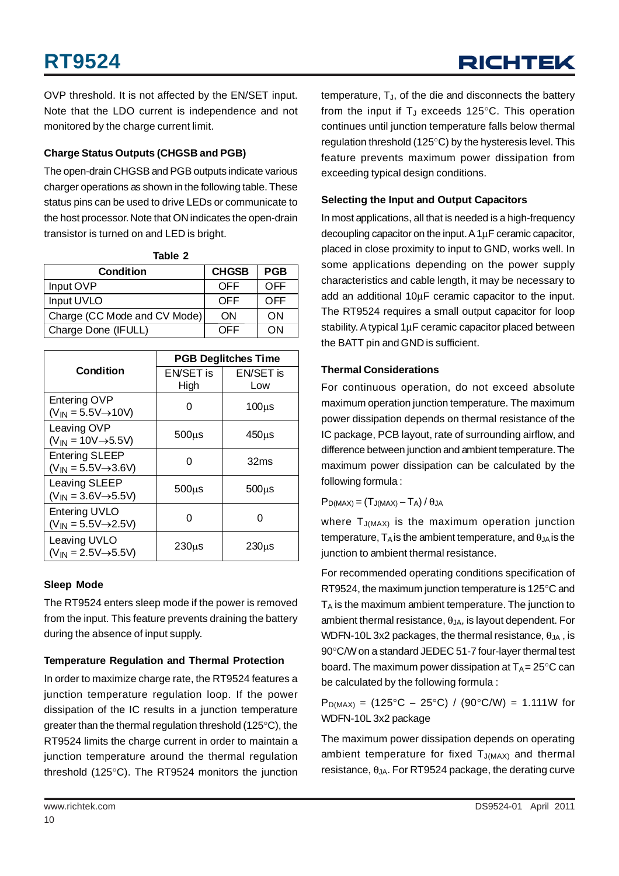OVP threshold. It is not affected by the EN/SET input. Note that the LDO current is independence and not monitored by the charge current limit.

#### **Charge Status Outputs (CHGSB and PGB)**

The open-drain CHGSB and PGB outputs indicate various charger operations as shown in the following table. These status pins can be used to drive LEDs or communicate to the host processor. Note that ON indicates the open-drain transistor is turned on and LED is bright.

| <b>Condition</b>             | <b>CHGSB</b> | <b>PGB</b> |
|------------------------------|--------------|------------|
| Input OVP                    | OFF          | OFF        |
| Input UVLO                   | OFF          | OFF        |
| Charge (CC Mode and CV Mode) | ON           | ON         |
| Charge Done (IFULL)          | OFF          | ON         |

**Table 2**

|                                                                   | <b>PGB Deglitches Time</b> |              |  |  |
|-------------------------------------------------------------------|----------------------------|--------------|--|--|
| Condition                                                         | EN/SET is                  | EN/SET is    |  |  |
|                                                                   | High                       | Low          |  |  |
| Entering OVP<br>$(V_{IN} = 5.5V \rightarrow 10V)$                 | Ω                          | $100\mu s$   |  |  |
| Leaving OVP<br>$(V_{IN} = 10V \rightarrow 5.5V)$                  | $500\mu s$                 | $450\mu s$   |  |  |
| <b>Entering SLEEP</b><br>$(V_{IN} = 5.5V \rightarrow 3.6V)$       | ი                          | 32ms         |  |  |
| Leaving SLEEP<br>$(V_{I\!N} = 3.6V \rightarrow 5.5V)$             | $500\mu s$                 | $500\,\mu s$ |  |  |
| <b>Entering UVLO</b><br>$(V_{I\text{N}} = 5.5V \rightarrow 2.5V)$ |                            |              |  |  |
| Leaving UVLO<br>$(V_{IN} = 2.5V \rightarrow 5.5V)$                | $230\mu s$                 | $230\mu s$   |  |  |

#### **Sleep Mode**

The RT9524 enters sleep mode if the power is removed from the input. This feature prevents draining the battery during the absence of input supply.

#### **Temperature Regulation and Thermal Protection**

In order to maximize charge rate, the RT9524 features a junction temperature regulation loop. If the power dissipation of the IC results in a junction temperature greater than the thermal regulation threshold (125°C), the RT9524 limits the charge current in order to maintain a junction temperature around the thermal regulation threshold (125°C). The RT9524 monitors the junction

temperature,  $T_{J}$ , of the die and disconnects the battery from the input if  $T_J$  exceeds 125 $\degree$ C. This operation continues until junction temperature falls below thermal regulation threshold (125°C) by the hysteresis level. This feature prevents maximum power dissipation from exceeding typical design conditions.

#### **Selecting the Input and Output Capacitors**

In most applications, all that is needed is a high-frequency decoupling capacitor on the input. A 1μF ceramic capacitor, placed in close proximity to input to GND, works well. In some applications depending on the power supply characteristics and cable length, it may be necessary to add an additional 10μF ceramic capacitor to the input. The RT9524 requires a small output capacitor for loop stability. A typical 1μF ceramic capacitor placed between the BATT pin and GND is sufficient.

#### **Thermal Considerations**

For continuous operation, do not exceed absolute maximum operation junction temperature. The maximum power dissipation depends on thermal resistance of the IC package, PCB layout, rate of surrounding airflow, and difference between junction and ambient temperature. The maximum power dissipation can be calculated by the following formula :

#### $P_{D(MAX)} = (T_{J(MAX)} - T_A)/\theta_{JA}$

where  $T_{J(MAX)}$  is the maximum operation junction temperature,  $T_A$  is the ambient temperature, and  $\theta_{JA}$  is the junction to ambient thermal resistance.

For recommended operating conditions specification of RT9524, the maximum junction temperature is 125°C and  $T_A$  is the maximum ambient temperature. The junction to ambient thermal resistance,  $\theta_{JA}$ , is layout dependent. For WDFN-10L 3x2 packages, the thermal resistance,  $\theta_{JA}$ , is 90°C/W on a standard JEDEC 51-7 four-layer thermal test board. The maximum power dissipation at  $T_A = 25^{\circ}C$  can be calculated by the following formula :

 $P_{D(MAX)} = (125^{\circ}C - 25^{\circ}C) / (90^{\circ}C/W) = 1.111W$  for WDFN-10L 3x2 package

The maximum power dissipation depends on operating ambient temperature for fixed  $T_{J(MAX)}$  and thermal resistance,  $\theta$ <sub>JA</sub>. For RT9524 package, the derating curve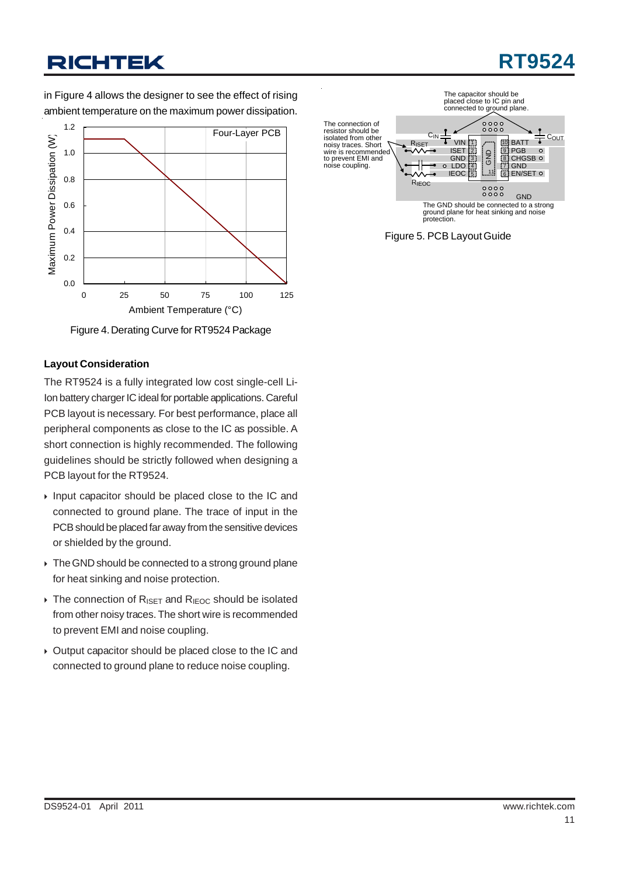# **RT9524**

in Figure 4 allows the designer to see the effect of rising ambient temperature on the maximum power dissipation.



Figure 4. Derating Curve for RT9524 Package

#### **Layout Consideration**

The RT9524 is a fully integrated low cost single-cell Li-Ion battery charger IC ideal for portable applications. Careful PCB layout is necessary. For best performance, place all peripheral components as close to the IC as possible. A short connection is highly recommended. The following guidelines should be strictly followed when designing a PCB layout for the RT9524.

- $\triangleright$  Input capacitor should be placed close to the IC and connected to ground plane. The trace of input in the PCB should be placed far away from the sensitive devices or shielded by the ground.
- $\triangleright$  The GND should be connected to a strong ground plane for heat sinking and noise protection.
- $\triangleright$  The connection of R<sub>ISET</sub> and R<sub>IEOC</sub> should be isolated from other noisy traces. The short wire is recommended to prevent EMI and noise coupling.
- $\rightarrow$  Output capacitor should be placed close to the IC and connected to ground plane to reduce noise coupling.



Figure 5. PCB Layout Guide